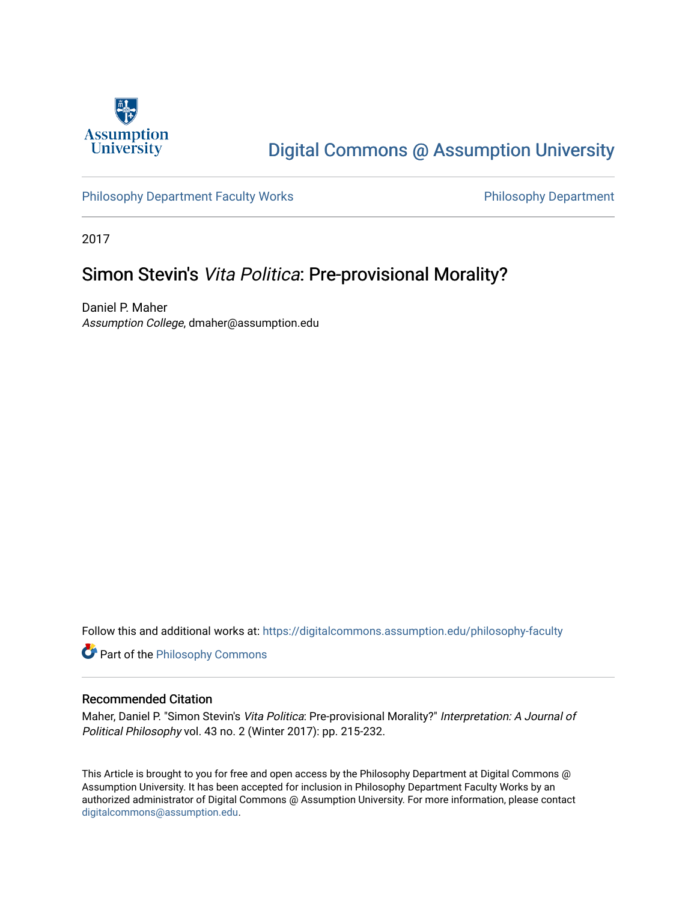

# [Digital Commons @ Assumption University](https://digitalcommons.assumption.edu/)

[Philosophy Department Faculty Works](https://digitalcommons.assumption.edu/philosophy-faculty) **Philosophy Department** 

2017

## Simon Stevin's Vita Politica: Pre-provisional Morality?

Daniel P. Maher Assumption College, dmaher@assumption.edu

Follow this and additional works at: [https://digitalcommons.assumption.edu/philosophy-faculty](https://digitalcommons.assumption.edu/philosophy-faculty?utm_source=digitalcommons.assumption.edu%2Fphilosophy-faculty%2F30&utm_medium=PDF&utm_campaign=PDFCoverPages) 

**Part of the Philosophy Commons** 

#### Recommended Citation

Maher, Daniel P. "Simon Stevin's Vita Politica: Pre-provisional Morality?" Interpretation: A Journal of Political Philosophy vol. 43 no. 2 (Winter 2017): pp. 215-232.

This Article is brought to you for free and open access by the Philosophy Department at Digital Commons @ Assumption University. It has been accepted for inclusion in Philosophy Department Faculty Works by an authorized administrator of Digital Commons @ Assumption University. For more information, please contact [digitalcommons@assumption.edu](mailto:digitalcommons@assumption.edu).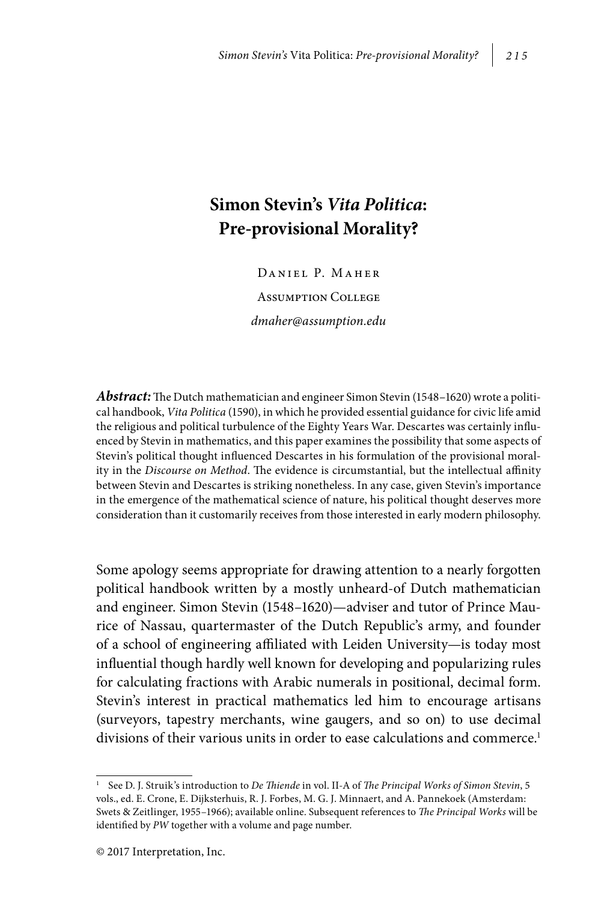### **Simon Stevin's** *Vita Politica***: Pre-provisional Morality?**

Daniel P. Maher

Assumption College *dmaher@assumption.edu*

*Abstract:* The Dutch mathematician and engineer Simon Stevin (1548–1620) wrote a political handbook, *Vita Politica* (1590), in which he provided essential guidance for civic life amid the religious and political turbulence of the Eighty Years War. Descartes was certainly influenced by Stevin in mathematics, and this paper examines the possibility that some aspects of Stevin's political thought influenced Descartes in his formulation of the provisional morality in the *Discourse on Method*. The evidence is circumstantial, but the intellectual affinity between Stevin and Descartes is striking nonetheless. In any case, given Stevin's importance in the emergence of the mathematical science of nature, his political thought deserves more consideration than it customarily receives from those interested in early modern philosophy.

Some apology seems appropriate for drawing attention to a nearly forgotten political handbook written by a mostly unheard-of Dutch mathematician and engineer. Simon Stevin (1548–1620)—adviser and tutor of Prince Maurice of Nassau, quartermaster of the Dutch Republic's army, and founder of a school of engineering affiliated with Leiden University—is today most influential though hardly well known for developing and popularizing rules for calculating fractions with Arabic numerals in positional, decimal form. Stevin's interest in practical mathematics led him to encourage artisans (surveyors, tapestry merchants, wine gaugers, and so on) to use decimal divisions of their various units in order to ease calculations and commerce.<sup>1</sup>

<sup>1</sup> See D. J. Struik's introduction to *De Thiende* in vol. II-A of *The Principal Works of Simon Stevin*, 5 vols., ed. E. Crone, E. Dijksterhuis, R. J. Forbes, M. G. J. Minnaert, and A. Pannekoek (Amsterdam: Swets & Zeitlinger, 1955–1966); available online. Subsequent references to *The Principal Works* will be identified by *PW* together with a volume and page number.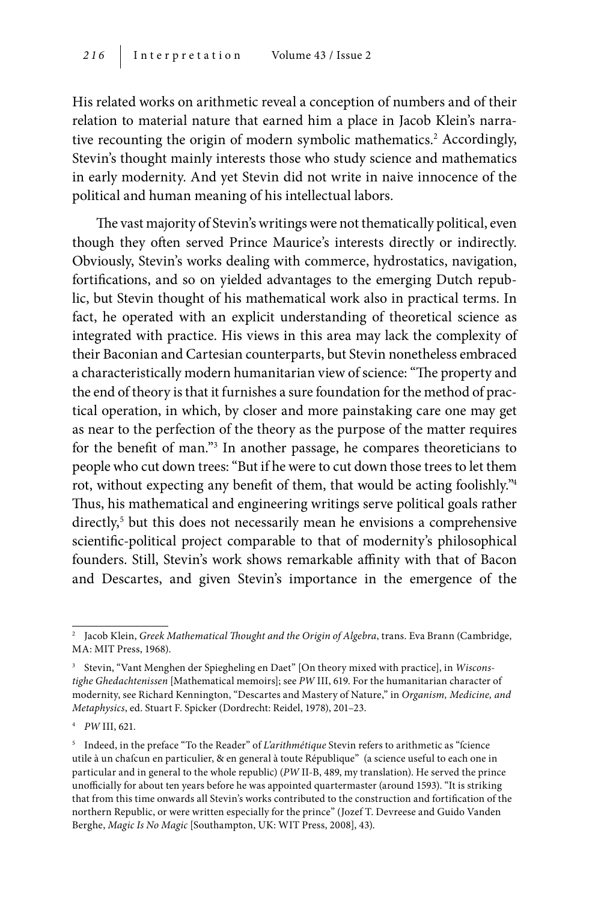His related works on arithmetic reveal a conception of numbers and of their relation to material nature that earned him a place in Jacob Klein's narrative recounting the origin of modern symbolic mathematics.<sup>2</sup> Accordingly, Stevin's thought mainly interests those who study science and mathematics in early modernity. And yet Stevin did not write in naive innocence of the political and human meaning of his intellectual labors.

The vast majority of Stevin's writings were not thematically political, even though they often served Prince Maurice's interests directly or indirectly. Obviously, Stevin's works dealing with commerce, hydrostatics, navigation, fortifications, and so on yielded advantages to the emerging Dutch republic, but Stevin thought of his mathematical work also in practical terms. In fact, he operated with an explicit understanding of theoretical science as integrated with practice. His views in this area may lack the complexity of their Baconian and Cartesian counterparts, but Stevin nonetheless embraced a characteristically modern humanitarian view of science: "The property and the end of theory is that it furnishes a sure foundation for the method of practical operation, in which, by closer and more painstaking care one may get as near to the perfection of the theory as the purpose of the matter requires for the benefit of man."3 In another passage, he compares theoreticians to people who cut down trees: "But if he were to cut down those trees to let them rot, without expecting any benefit of them, that would be acting foolishly."4 Thus, his mathematical and engineering writings serve political goals rather directly,<sup>5</sup> but this does not necessarily mean he envisions a comprehensive scientific-political project comparable to that of modernity's philosophical founders. Still, Stevin's work shows remarkable affinity with that of Bacon and Descartes, and given Stevin's importance in the emergence of the

<sup>&</sup>lt;sup>2</sup> Jacob Klein, *Greek Mathematical Thought and the Origin of Algebra*, trans. Eva Brann (Cambridge, MA: MIT Press, 1968).

<sup>3</sup> Stevin, "Vant Menghen der Spiegheling en Daet" [On theory mixed with practice], in *Wisconstighe Ghedachtenissen* [Mathematical memoirs]; see *PW* III, 619. For the humanitarian character of modernity, see Richard Kennington, "Descartes and Mastery of Nature," in *Organism, Medicine, and Metaphysics*, ed. Stuart F. Spicker (Dordrecht: Reidel, 1978), 201–23.

<sup>4</sup> *PW* III, 621.

<sup>&</sup>lt;sup>5</sup> Indeed, in the preface "To the Reader" of *L'arithmétique* Stevin refers to arithmetic as "fcience utile à un chafcun en particulier, & en general à toute République" (a science useful to each one in particular and in general to the whole republic) (*PW* II-B, 489, my translation). He served the prince unofficially for about ten years before he was appointed quartermaster (around 1593). "It is striking that from this time onwards all Stevin's works contributed to the construction and fortification of the northern Republic, or were written especially for the prince" (Jozef T. Devreese and Guido Vanden Berghe, *Magic Is No Magic* [Southampton, UK: WIT Press, 2008], 43).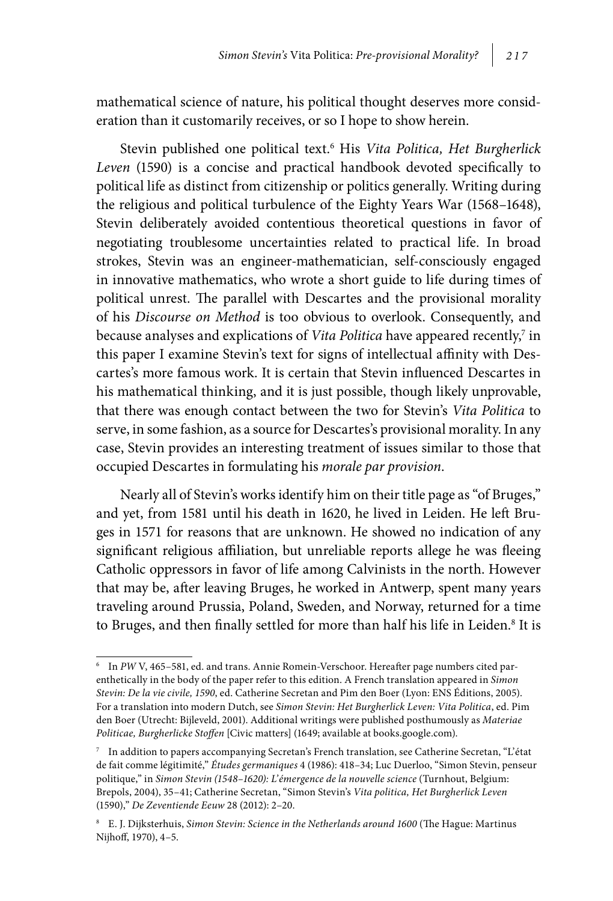mathematical science of nature, his political thought deserves more consideration than it customarily receives, or so I hope to show herein.

Stevin published one political text.<sup>6</sup> His Vita Politica, Het Burgherlick *Leven* (1590) is a concise and practical handbook devoted specifically to political life as distinct from citizenship or politics generally. Writing during the religious and political turbulence of the Eighty Years War (1568–1648), Stevin deliberately avoided contentious theoretical questions in favor of negotiating troublesome uncertainties related to practical life. In broad strokes, Stevin was an engineer-mathematician, self-consciously engaged in innovative mathematics, who wrote a short guide to life during times of political unrest. The parallel with Descartes and the provisional morality of his *Discourse on Method* is too obvious to overlook. Consequently, and because analyses and explications of *Vita Politica* have appeared recently,<sup>7</sup> in this paper I examine Stevin's text for signs of intellectual affinity with Descartes's more famous work. It is certain that Stevin influenced Descartes in his mathematical thinking, and it is just possible, though likely unprovable, that there was enough contact between the two for Stevin's *Vita Politica* to serve, in some fashion, as a source for Descartes's provisional morality. In any case, Stevin provides an interesting treatment of issues similar to those that occupied Descartes in formulating his *morale par provision*.

Nearly all of Stevin's works identify him on their title page as "of Bruges," and yet, from 1581 until his death in 1620, he lived in Leiden. He left Bruges in 1571 for reasons that are unknown. He showed no indication of any significant religious affiliation, but unreliable reports allege he was fleeing Catholic oppressors in favor of life among Calvinists in the north. However that may be, after leaving Bruges, he worked in Antwerp, spent many years traveling around Prussia, Poland, Sweden, and Norway, returned for a time to Bruges, and then finally settled for more than half his life in Leiden.<sup>8</sup> It is

<sup>6</sup> In *PW* V, 465–581, ed. and trans. Annie Romein-Verschoor. Hereafter page numbers cited parenthetically in the body of the paper refer to this edition. A French translation appeared in *Simon Stevin: De la vie civile, 1590*, ed. Catherine Secretan and Pim den Boer (Lyon: ENS Éditions, 2005). For a translation into modern Dutch, see *Simon Stevin: Het Burgherlick Leven: Vita Politica*, ed. Pim den Boer (Utrecht: Bijleveld, 2001). Additional writings were published posthumously as *Materiae Politicae, Burgherlicke Stoffen* [Civic matters] (1649; available at books.google.com).

 $^7$  In addition to papers accompanying Secretan's French translation, see Catherine Secretan, "L'état de fait comme légitimité," *Études germaniques* 4 (1986): 418–34; Luc Duerloo, "Simon Stevin, penseur politique," in *Simon Stevin (1548–1620): L'émergence de la nouvelle science* (Turnhout, Belgium: Brepols, 2004), 35–41; Catherine Secretan, "Simon Stevin's *Vita politica, Het Burgherlick Leven*  (1590)," *De Zeventiende Eeuw* 28 (2012): 2–20.

<sup>8</sup> E. J. Dijksterhuis, *Simon Stevin: Science in the Netherlands around 1600* (The Hague: Martinus Nijhoff, 1970), 4–5.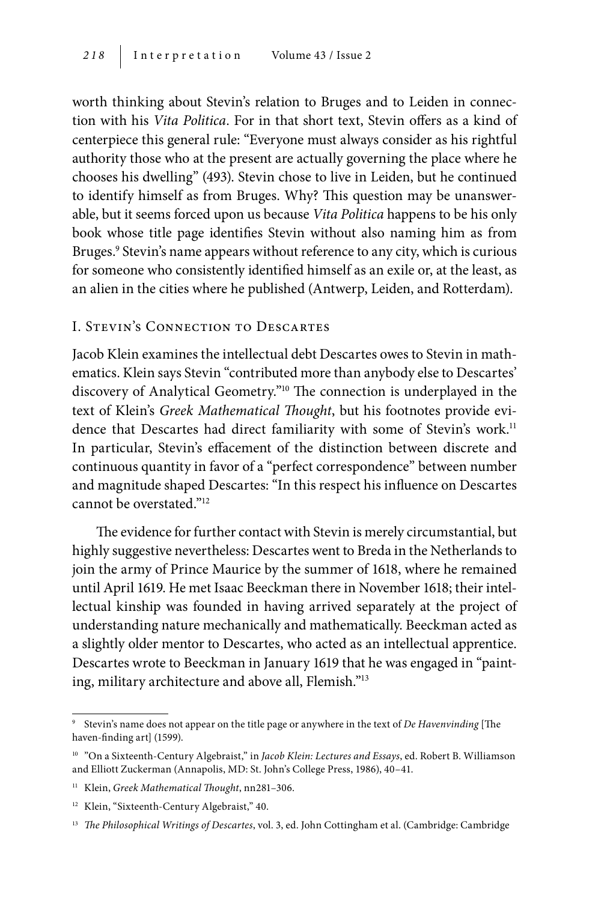worth thinking about Stevin's relation to Bruges and to Leiden in connection with his *Vita Politica*. For in that short text, Stevin offers as a kind of centerpiece this general rule: "Everyone must always consider as his rightful authority those who at the present are actually governing the place where he chooses his dwelling" (493). Stevin chose to live in Leiden, but he continued to identify himself as from Bruges. Why? This question may be unanswerable, but it seems forced upon us because *Vita Politica* happens to be his only book whose title page identifies Stevin without also naming him as from Bruges.<sup>9</sup> Stevin's name appears without reference to any city, which is curious for someone who consistently identified himself as an exile or, at the least, as an alien in the cities where he published (Antwerp, Leiden, and Rotterdam).

#### I. Stevin's Connection to Descartes

Jacob Klein examines the intellectual debt Descartes owes to Stevin in mathematics. Klein says Stevin "contributed more than anybody else to Descartes' discovery of Analytical Geometry."10 The connection is underplayed in the text of Klein's *Greek Mathematical Thought*, but his footnotes provide evidence that Descartes had direct familiarity with some of Stevin's work.<sup>11</sup> In particular, Stevin's effacement of the distinction between discrete and continuous quantity in favor of a "perfect correspondence" between number and magnitude shaped Descartes: "In this respect his influence on Descartes cannot be overstated."12

The evidence for further contact with Stevin is merely circumstantial, but highly suggestive nevertheless: Descartes went to Breda in the Netherlands to join the army of Prince Maurice by the summer of 1618, where he remained until April 1619. He met Isaac Beeckman there in November 1618; their intellectual kinship was founded in having arrived separately at the project of understanding nature mechanically and mathematically. Beeckman acted as a slightly older mentor to Descartes, who acted as an intellectual apprentice. Descartes wrote to Beeckman in January 1619 that he was engaged in "painting, military architecture and above all, Flemish."13

<sup>9</sup> Stevin's name does not appear on the title page or anywhere in the text of *De Havenvinding* [The haven-finding art] (1599).

<sup>10</sup> "On a Sixteenth-Century Algebraist," in *Jacob Klein: Lectures and Essays*, ed. Robert B. Williamson and Elliott Zuckerman (Annapolis, MD: St. John's College Press, 1986), 40–41.

<sup>&</sup>lt;sup>11</sup> Klein, *Greek Mathematical Thought*, nn281-306.

<sup>&</sup>lt;sup>12</sup> Klein, "Sixteenth-Century Algebraist," 40.

<sup>13</sup> *The Philosophical Writings of Descartes*, vol. 3, ed. John Cottingham et al. (Cambridge: Cambridge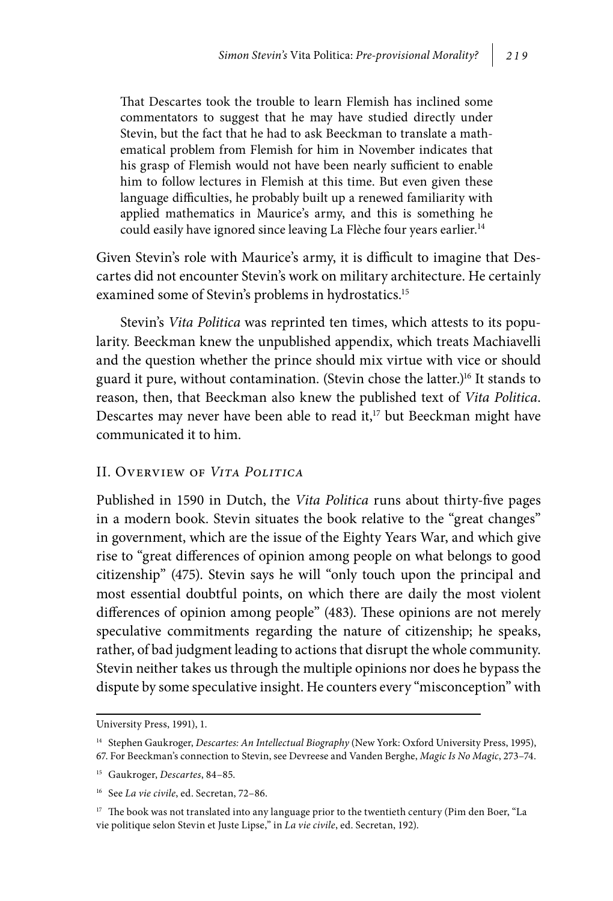That Descartes took the trouble to learn Flemish has inclined some commentators to suggest that he may have studied directly under Stevin, but the fact that he had to ask Beeckman to translate a mathematical problem from Flemish for him in November indicates that his grasp of Flemish would not have been nearly sufficient to enable him to follow lectures in Flemish at this time. But even given these language difficulties, he probably built up a renewed familiarity with applied mathematics in Maurice's army, and this is something he could easily have ignored since leaving La Flèche four years earlier.<sup>14</sup>

Given Stevin's role with Maurice's army, it is difficult to imagine that Descartes did not encounter Stevin's work on military architecture. He certainly examined some of Stevin's problems in hydrostatics.<sup>15</sup>

Stevin's *Vita Politica* was reprinted ten times, which attests to its popularity. Beeckman knew the unpublished appendix, which treats Machiavelli and the question whether the prince should mix virtue with vice or should guard it pure, without contamination. (Stevin chose the latter.)<sup>16</sup> It stands to reason, then, that Beeckman also knew the published text of *Vita Politica*. Descartes may never have been able to read it, $17$  but Beeckman might have communicated it to him.

#### II. Overview of *Vita Politica*

Published in 1590 in Dutch, the *Vita Politica* runs about thirty-five pages in a modern book. Stevin situates the book relative to the "great changes" in government, which are the issue of the Eighty Years War, and which give rise to "great differences of opinion among people on what belongs to good citizenship" (475). Stevin says he will "only touch upon the principal and most essential doubtful points, on which there are daily the most violent differences of opinion among people" (483). These opinions are not merely speculative commitments regarding the nature of citizenship; he speaks, rather, of bad judgment leading to actions that disrupt the whole community. Stevin neither takes us through the multiple opinions nor does he bypass the dispute by some speculative insight. He counters every "misconception" with

University Press, 1991), 1.

<sup>14</sup> Stephen Gaukroger, *Descartes: An Intellectual Biography* (New York: Oxford University Press, 1995),

<sup>67.</sup> For Beeckman's connection to Stevin, see Devreese and Vanden Berghe, *Magic Is No Magic*, 273–74.

<sup>15</sup> Gaukroger, *Descartes*, 84–85.

<sup>16</sup> See *La vie civile*, ed. Secretan, 72–86.

<sup>&</sup>lt;sup>17</sup> The book was not translated into any language prior to the twentieth century (Pim den Boer, "La vie politique selon Stevin et Juste Lipse," in *La vie civile*, ed. Secretan, 192).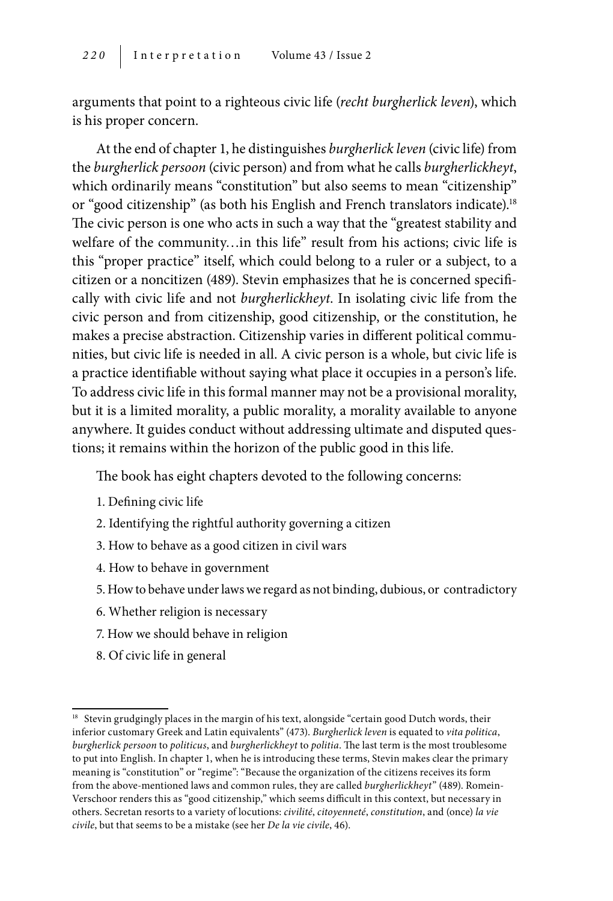arguments that point to a righteous civic life (*recht burgherlick leven*), which is his proper concern.

At the end of chapter 1, he distinguishes *burgherlick leven* (civic life) from the *burgherlick persoon* (civic person) and from what he calls *burgherlickheyt*, which ordinarily means "constitution" but also seems to mean "citizenship" or "good citizenship" (as both his English and French translators indicate).<sup>18</sup> The civic person is one who acts in such a way that the "greatest stability and welfare of the community…in this life" result from his actions; civic life is this "proper practice" itself, which could belong to a ruler or a subject, to a citizen or a noncitizen (489). Stevin emphasizes that he is concerned specifically with civic life and not *burgherlickheyt*. In isolating civic life from the civic person and from citizenship, good citizenship, or the constitution, he makes a precise abstraction. Citizenship varies in different political communities, but civic life is needed in all. A civic person is a whole, but civic life is a practice identifiable without saying what place it occupies in a person's life. To address civic life in this formal manner may not be a provisional morality, but it is a limited morality, a public morality, a morality available to anyone anywhere. It guides conduct without addressing ultimate and disputed questions; it remains within the horizon of the public good in this life.

The book has eight chapters devoted to the following concerns:

- 1. Defining civic life
- 2. Identifying the rightful authority governing a citizen
- 3. How to behave as a good citizen in civil wars
- 4. How to behave in government
- 5. How to behave under laws we regard as not binding, dubious, or contradictory
- 6. Whether religion is necessary
- 7. How we should behave in religion
- 8. Of civic life in general

<sup>&</sup>lt;sup>18</sup> Stevin grudgingly places in the margin of his text, alongside "certain good Dutch words, their inferior customary Greek and Latin equivalents" (473). *Burgherlick leven* is equated to *vita politica*, *burgherlick persoon* to *politicus*, and *burgherlickheyt* to *politia*. The last term is the most troublesome to put into English. In chapter 1, when he is introducing these terms, Stevin makes clear the primary meaning is "constitution" or "regime": "Because the organization of the citizens receives its form from the above-mentioned laws and common rules, they are called *burgherlickheyt*" (489). Romein-Verschoor renders this as "good citizenship," which seems difficult in this context, but necessary in others. Secretan resorts to a variety of locutions: *civilité*, *citoyenneté*, *constitution*, and (once) *la vie civile*, but that seems to be a mistake (see her *De la vie civile*, 46).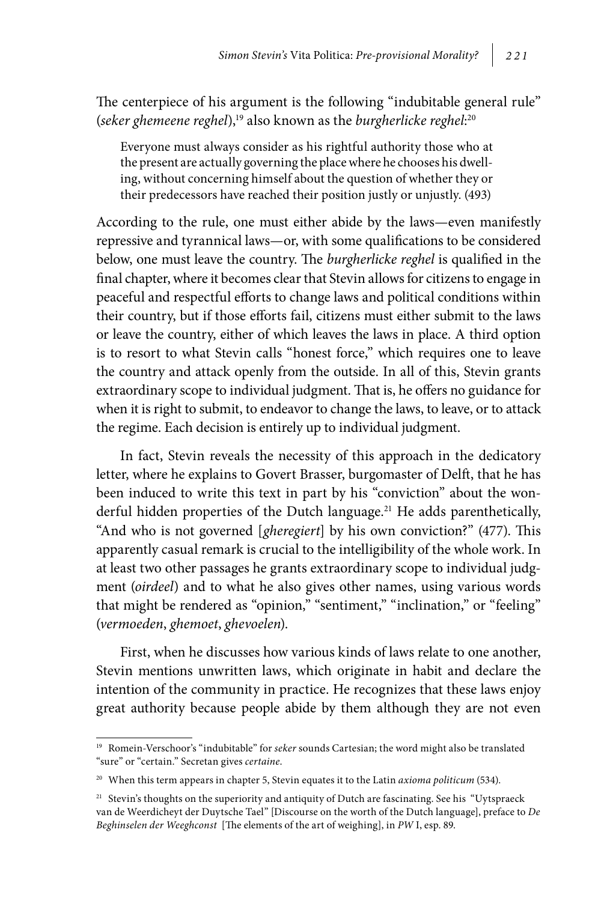The centerpiece of his argument is the following "indubitable general rule" (seker ghemeene reghel),<sup>19</sup> also known as the burgherlicke reghel:<sup>20</sup>

Everyone must always consider as his rightful authority those who at the present are actually governing the place where he chooses his dwelling, without concerning himself about the question of whether they or their predecessors have reached their position justly or unjustly. (493)

According to the rule, one must either abide by the laws—even manifestly repressive and tyrannical laws—or, with some qualifications to be considered below, one must leave the country. The *burgherlicke reghel* is qualified in the final chapter, where it becomes clear that Stevin allows for citizens to engage in peaceful and respectful efforts to change laws and political conditions within their country, but if those efforts fail, citizens must either submit to the laws or leave the country, either of which leaves the laws in place. A third option is to resort to what Stevin calls "honest force," which requires one to leave the country and attack openly from the outside. In all of this, Stevin grants extraordinary scope to individual judgment. That is, he offers no guidance for when it is right to submit, to endeavor to change the laws, to leave, or to attack the regime. Each decision is entirely up to individual judgment.

In fact, Stevin reveals the necessity of this approach in the dedicatory letter, where he explains to Govert Brasser, burgomaster of Delft, that he has been induced to write this text in part by his "conviction" about the wonderful hidden properties of the Dutch language.<sup>21</sup> He adds parenthetically, "And who is not governed [*gheregiert*] by his own conviction?" (477). This apparently casual remark is crucial to the intelligibility of the whole work. In at least two other passages he grants extraordinary scope to individual judgment (*oirdeel*) and to what he also gives other names, using various words that might be rendered as "opinion," "sentiment," "inclination," or "feeling" (*vermoeden*, *ghemoet*, *ghevoelen*).

First, when he discusses how various kinds of laws relate to one another, Stevin mentions unwritten laws, which originate in habit and declare the intention of the community in practice. He recognizes that these laws enjoy great authority because people abide by them although they are not even

<sup>19</sup> Romein-Verschoor's "indubitable" for *seker* sounds Cartesian; the word might also be translated "sure" or "certain." Secretan gives *certaine*.

<sup>20</sup> When this term appears in chapter 5, Stevin equates it to the Latin *axioma politicum* (534).

<sup>&</sup>lt;sup>21</sup> Stevin's thoughts on the superiority and antiquity of Dutch are fascinating. See his "Uytspraeck van de Weerdicheyt der Duytsche Tael" [Discourse on the worth of the Dutch language], preface to *De Beghinselen der Weeghconst* [The elements of the art of weighing], in *PW* I, esp. 89.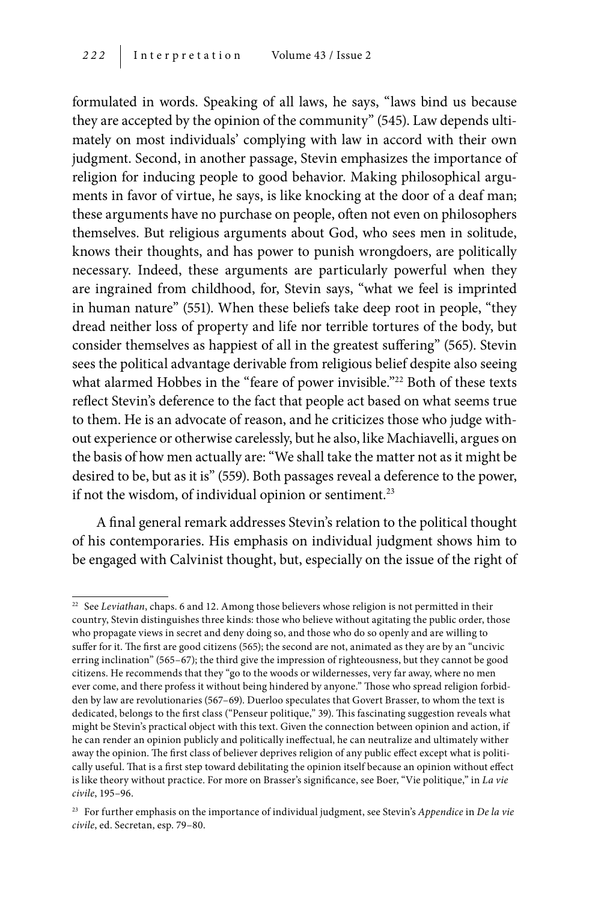formulated in words. Speaking of all laws, he says, "laws bind us because they are accepted by the opinion of the community" (545). Law depends ultimately on most individuals' complying with law in accord with their own judgment. Second, in another passage, Stevin emphasizes the importance of religion for inducing people to good behavior. Making philosophical arguments in favor of virtue, he says, is like knocking at the door of a deaf man; these arguments have no purchase on people, often not even on philosophers themselves. But religious arguments about God, who sees men in solitude, knows their thoughts, and has power to punish wrongdoers, are politically necessary. Indeed, these arguments are particularly powerful when they are ingrained from childhood, for, Stevin says, "what we feel is imprinted in human nature" (551). When these beliefs take deep root in people, "they dread neither loss of property and life nor terrible tortures of the body, but consider themselves as happiest of all in the greatest suffering" (565). Stevin sees the political advantage derivable from religious belief despite also seeing what alarmed Hobbes in the "feare of power invisible."<sup>22</sup> Both of these texts reflect Stevin's deference to the fact that people act based on what seems true to them. He is an advocate of reason, and he criticizes those who judge without experience or otherwise carelessly, but he also, like Machiavelli, argues on the basis of how men actually are: "We shall take the matter not as it might be desired to be, but as it is" (559). Both passages reveal a deference to the power, if not the wisdom, of individual opinion or sentiment.<sup>23</sup>

A final general remark addresses Stevin's relation to the political thought of his contemporaries. His emphasis on individual judgment shows him to be engaged with Calvinist thought, but, especially on the issue of the right of

<sup>&</sup>lt;sup>22</sup> See *Leviathan*, chaps. 6 and 12. Among those believers whose religion is not permitted in their country, Stevin distinguishes three kinds: those who believe without agitating the public order, those who propagate views in secret and deny doing so, and those who do so openly and are willing to suffer for it. The first are good citizens (565); the second are not, animated as they are by an "uncivic erring inclination" (565–67); the third give the impression of righteousness, but they cannot be good citizens. He recommends that they "go to the woods or wildernesses, very far away, where no men ever come, and there profess it without being hindered by anyone." Those who spread religion forbidden by law are revolutionaries (567–69). Duerloo speculates that Govert Brasser, to whom the text is dedicated, belongs to the first class ("Penseur politique," 39). This fascinating suggestion reveals what might be Stevin's practical object with this text. Given the connection between opinion and action, if he can render an opinion publicly and politically ineffectual, he can neutralize and ultimately wither away the opinion. The first class of believer deprives religion of any public effect except what is politically useful. That is a first step toward debilitating the opinion itself because an opinion without effect is like theory without practice. For more on Brasser's significance, see Boer, "Vie politique," in *La vie civile*, 195–96.

<sup>23</sup> For further emphasis on the importance of individual judgment, see Stevin's *Appendice* in *De la vie civile*, ed. Secretan, esp. 79–80.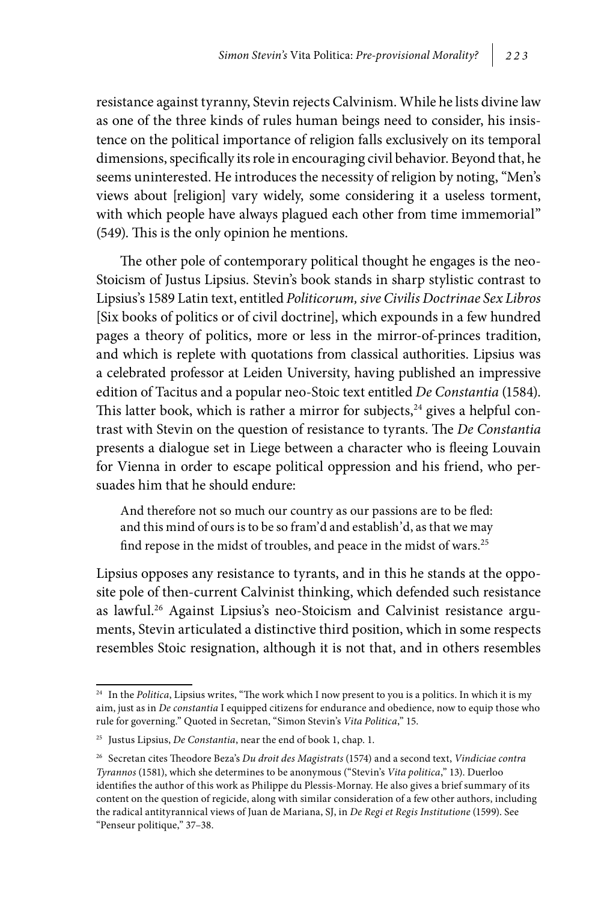resistance against tyranny, Stevin rejects Calvinism. While he lists divine law as one of the three kinds of rules human beings need to consider, his insistence on the political importance of religion falls exclusively on its temporal dimensions, specifically its role in encouraging civil behavior. Beyond that, he seems uninterested. He introduces the necessity of religion by noting, "Men's views about [religion] vary widely, some considering it a useless torment, with which people have always plagued each other from time immemorial" (549). This is the only opinion he mentions.

The other pole of contemporary political thought he engages is the neo-Stoicism of Justus Lipsius. Stevin's book stands in sharp stylistic contrast to Lipsius's 1589 Latin text, entitled *Politicorum, sive Civilis Doctrinae Sex Libros* [Six books of politics or of civil doctrine], which expounds in a few hundred pages a theory of politics, more or less in the mirror-of-princes tradition, and which is replete with quotations from classical authorities. Lipsius was a celebrated professor at Leiden University, having published an impressive edition of Tacitus and a popular neo-Stoic text entitled *De Constantia* (1584). This latter book, which is rather a mirror for subjects, $24$  gives a helpful contrast with Stevin on the question of resistance to tyrants. The *De Constantia* presents a dialogue set in Liege between a character who is fleeing Louvain for Vienna in order to escape political oppression and his friend, who persuades him that he should endure:

And therefore not so much our country as our passions are to be fled: and this mind of ours is to be so fram'd and establish'd, as that we may find repose in the midst of troubles, and peace in the midst of wars.<sup>25</sup>

Lipsius opposes any resistance to tyrants, and in this he stands at the opposite pole of then-current Calvinist thinking, which defended such resistance as lawful.<sup>26</sup> Against Lipsius's neo-Stoicism and Calvinist resistance arguments, Stevin articulated a distinctive third position, which in some respects resembles Stoic resignation, although it is not that, and in others resembles

<sup>24</sup> In the *Politica*, Lipsius writes, "The work which I now present to you is a politics. In which it is my aim, just as in *De constantia* I equipped citizens for endurance and obedience, now to equip those who rule for governing." Quoted in Secretan, "Simon Stevin's *Vita Politica*," 15.

<sup>25</sup> Justus Lipsius, *De Constantia*, near the end of book 1, chap. 1.

<sup>26</sup> Secretan cites Theodore Beza's *Du droit des Magistrats* (1574) and a second text, *Vindiciae contra Tyrannos* (1581), which she determines to be anonymous ("Stevin's *Vita politica*," 13). Duerloo identifies the author of this work as Philippe du Plessis-Mornay. He also gives a brief summary of its content on the question of regicide, along with similar consideration of a few other authors, including the radical antityrannical views of Juan de Mariana, SJ, in *De Regi et Regis Institutione* (1599). See "Penseur politique," 37–38.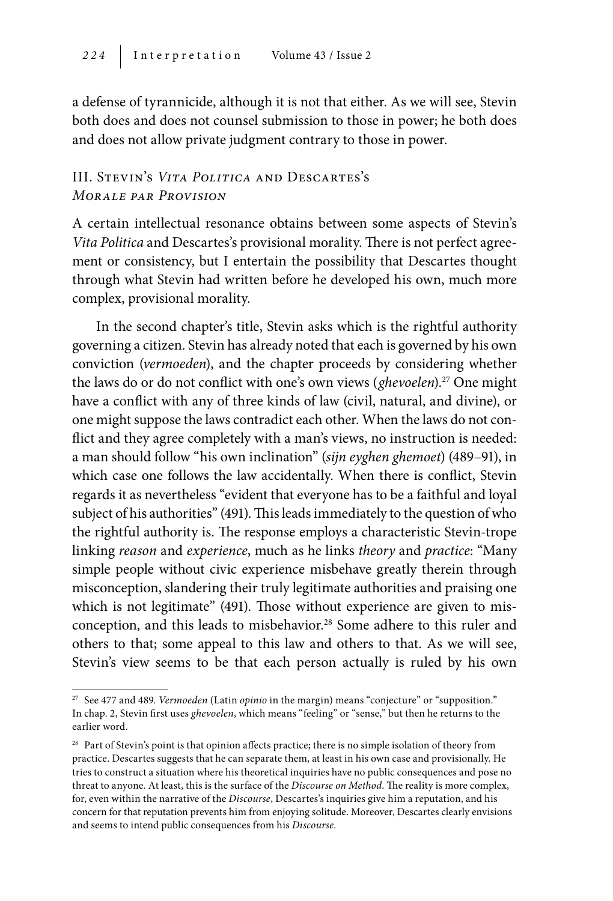a defense of tyrannicide, although it is not that either. As we will see, Stevin both does and does not counsel submission to those in power; he both does and does not allow private judgment contrary to those in power.

#### III. Stevin's *Vita Politica* and Descartes's *Morale par Provision*

A certain intellectual resonance obtains between some aspects of Stevin's *Vita Politica* and Descartes's provisional morality. There is not perfect agreement or consistency, but I entertain the possibility that Descartes thought through what Stevin had written before he developed his own, much more complex, provisional morality.

In the second chapter's title, Stevin asks which is the rightful authority governing a citizen. Stevin has already noted that each is governed by his own conviction (*vermoeden*), and the chapter proceeds by considering whether the laws do or do not conflict with one's own views (*ghevoelen*).<sup>27</sup> One might have a conflict with any of three kinds of law (civil, natural, and divine), or one might suppose the laws contradict each other. When the laws do not conflict and they agree completely with a man's views, no instruction is needed: a man should follow "his own inclination" (*sijn eyghen ghemoet*) (489–91), in which case one follows the law accidentally. When there is conflict, Stevin regards it as nevertheless "evident that everyone has to be a faithful and loyal subject of his authorities" (491). This leads immediately to the question of who the rightful authority is. The response employs a characteristic Stevin-trope linking *reason* and *experience*, much as he links *theory* and *practice*: "Many simple people without civic experience misbehave greatly therein through misconception, slandering their truly legitimate authorities and praising one which is not legitimate" (491). Those without experience are given to misconception, and this leads to misbehavior.<sup>28</sup> Some adhere to this ruler and others to that; some appeal to this law and others to that. As we will see, Stevin's view seems to be that each person actually is ruled by his own

<sup>27</sup> See 477 and 489. *Vermoeden* (Latin *opinio* in the margin) means "conjecture" or "supposition." In chap. 2, Stevin first uses *ghevoelen*, which means "feeling" or "sense," but then he returns to the earlier word.

<sup>&</sup>lt;sup>28</sup> Part of Stevin's point is that opinion affects practice; there is no simple isolation of theory from practice. Descartes suggests that he can separate them, at least in his own case and provisionally. He tries to construct a situation where his theoretical inquiries have no public consequences and pose no threat to anyone. At least, this is the surface of the *Discourse on Method*. The reality is more complex, for, even within the narrative of the *Discourse*, Descartes's inquiries give him a reputation, and his concern for that reputation prevents him from enjoying solitude. Moreover, Descartes clearly envisions and seems to intend public consequences from his *Discourse*.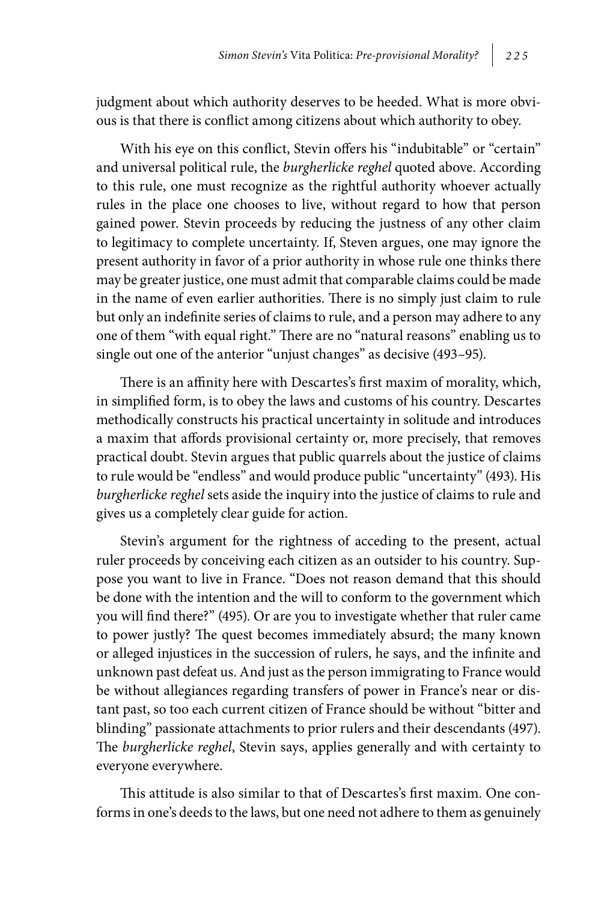judgment about which authority deserves to be heeded. What is more obvious is that there is conflict among citizens about which authority to obey.

With his eye on this conflict, Stevin offers his "indubitable" or "certain" and universal political rule, the *burgherlicke reghel* quoted above. According to this rule, one must recognize as the rightful authority whoever actually rules in the place one chooses to live, without regard to how that person gained power. Stevin proceeds by reducing the justness of any other claim to legitimacy to complete uncertainty. If, Steven argues, one may ignore the present authority in favor of a prior authority in whose rule one thinks there may be greater justice, one must admit that comparable claims could be made in the name of even earlier authorities. There is no simply just claim to rule but only an indefinite series of claims to rule, and a person may adhere to any one of them "with equal right." There are no "natural reasons" enabling us to single out one of the anterior "unjust changes" as decisive (493–95).

There is an affinity here with Descartes's first maxim of morality, which, in simplified form, is to obey the laws and customs of his country. Descartes methodically constructs his practical uncertainty in solitude and introduces a maxim that affords provisional certainty or, more precisely, that removes practical doubt. Stevin argues that public quarrels about the justice of claims to rule would be "endless" and would produce public "uncertainty" (493). His *burgherlicke reghel* sets aside the inquiry into the justice of claims to rule and gives us a completely clear guide for action.

Stevin's argument for the rightness of acceding to the present, actual ruler proceeds by conceiving each citizen as an outsider to his country. Suppose you want to live in France. "Does not reason demand that this should be done with the intention and the will to conform to the government which you will find there?" (495). Or are you to investigate whether that ruler came to power justly? The quest becomes immediately absurd; the many known or alleged injustices in the succession of rulers, he says, and the infinite and unknown past defeat us. And just as the person immigrating to France would be without allegiances regarding transfers of power in France's near or distant past, so too each current citizen of France should be without "bitter and blinding" passionate attachments to prior rulers and their descendants (497). The *burgherlicke reghel*, Stevin says, applies generally and with certainty to everyone everywhere.

This attitude is also similar to that of Descartes's first maxim. One conforms in one's deeds to the laws, but one need not adhere to them as genuinely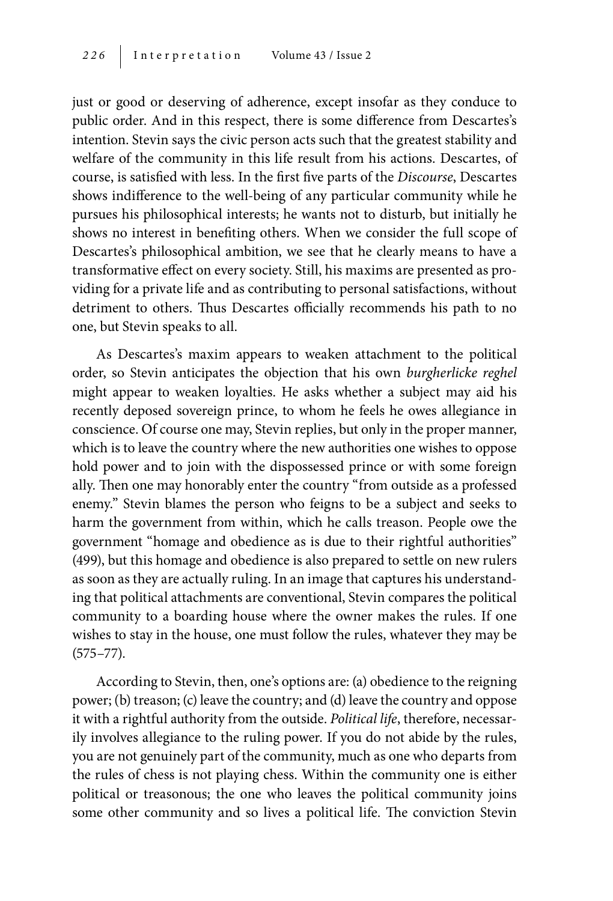just or good or deserving of adherence, except insofar as they conduce to public order. And in this respect, there is some difference from Descartes's intention. Stevin says the civic person acts such that the greatest stability and welfare of the community in this life result from his actions. Descartes, of course, is satisfied with less. In the first five parts of the *Discourse*, Descartes shows indifference to the well-being of any particular community while he pursues his philosophical interests; he wants not to disturb, but initially he shows no interest in benefiting others. When we consider the full scope of Descartes's philosophical ambition, we see that he clearly means to have a transformative effect on every society. Still, his maxims are presented as providing for a private life and as contributing to personal satisfactions, without detriment to others. Thus Descartes officially recommends his path to no one, but Stevin speaks to all.

As Descartes's maxim appears to weaken attachment to the political order, so Stevin anticipates the objection that his own *burgherlicke reghel* might appear to weaken loyalties. He asks whether a subject may aid his recently deposed sovereign prince, to whom he feels he owes allegiance in conscience. Of course one may, Stevin replies, but only in the proper manner, which is to leave the country where the new authorities one wishes to oppose hold power and to join with the dispossessed prince or with some foreign ally. Then one may honorably enter the country "from outside as a professed enemy." Stevin blames the person who feigns to be a subject and seeks to harm the government from within, which he calls treason. People owe the government "homage and obedience as is due to their rightful authorities" (499), but this homage and obedience is also prepared to settle on new rulers as soon as they are actually ruling. In an image that captures his understanding that political attachments are conventional, Stevin compares the political community to a boarding house where the owner makes the rules. If one wishes to stay in the house, one must follow the rules, whatever they may be (575–77).

According to Stevin, then, one's options are: (a) obedience to the reigning power; (b) treason; (c) leave the country; and (d) leave the country and oppose it with a rightful authority from the outside. *Political life*, therefore, necessarily involves allegiance to the ruling power. If you do not abide by the rules, you are not genuinely part of the community, much as one who departs from the rules of chess is not playing chess. Within the community one is either political or treasonous; the one who leaves the political community joins some other community and so lives a political life. The conviction Stevin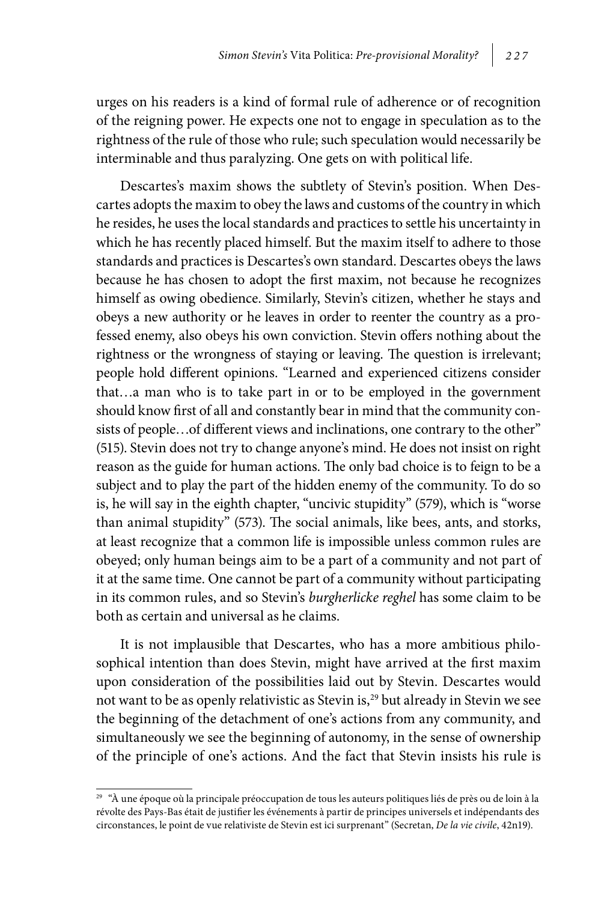urges on his readers is a kind of formal rule of adherence or of recognition of the reigning power. He expects one not to engage in speculation as to the rightness of the rule of those who rule; such speculation would necessarily be interminable and thus paralyzing. One gets on with political life.

Descartes's maxim shows the subtlety of Stevin's position. When Descartes adopts the maxim to obey the laws and customs of the country in which he resides, he uses the local standards and practices to settle his uncertainty in which he has recently placed himself. But the maxim itself to adhere to those standards and practices is Descartes's own standard. Descartes obeys the laws because he has chosen to adopt the first maxim, not because he recognizes himself as owing obedience. Similarly, Stevin's citizen, whether he stays and obeys a new authority or he leaves in order to reenter the country as a professed enemy, also obeys his own conviction. Stevin offers nothing about the rightness or the wrongness of staying or leaving. The question is irrelevant; people hold different opinions. "Learned and experienced citizens consider that…a man who is to take part in or to be employed in the government should know first of all and constantly bear in mind that the community consists of people…of different views and inclinations, one contrary to the other" (515). Stevin does not try to change anyone's mind. He does not insist on right reason as the guide for human actions. The only bad choice is to feign to be a subject and to play the part of the hidden enemy of the community. To do so is, he will say in the eighth chapter, "uncivic stupidity" (579), which is "worse than animal stupidity" (573). The social animals, like bees, ants, and storks, at least recognize that a common life is impossible unless common rules are obeyed; only human beings aim to be a part of a community and not part of it at the same time. One cannot be part of a community without participating in its common rules, and so Stevin's *burgherlicke reghel* has some claim to be both as certain and universal as he claims.

It is not implausible that Descartes, who has a more ambitious philosophical intention than does Stevin, might have arrived at the first maxim upon consideration of the possibilities laid out by Stevin. Descartes would not want to be as openly relativistic as Stevin is,<sup>29</sup> but already in Stevin we see the beginning of the detachment of one's actions from any community, and simultaneously we see the beginning of autonomy, in the sense of ownership of the principle of one's actions. And the fact that Stevin insists his rule is

<sup>&</sup>lt;sup>29</sup> "À une époque où la principale préoccupation de tous les auteurs politiques liés de près ou de loin à la révolte des Pays-Bas était de justifier les événements à partir de principes universels et indépendants des circonstances, le point de vue relativiste de Stevin est ici surprenant" (Secretan, *De la vie civile*, 42n19).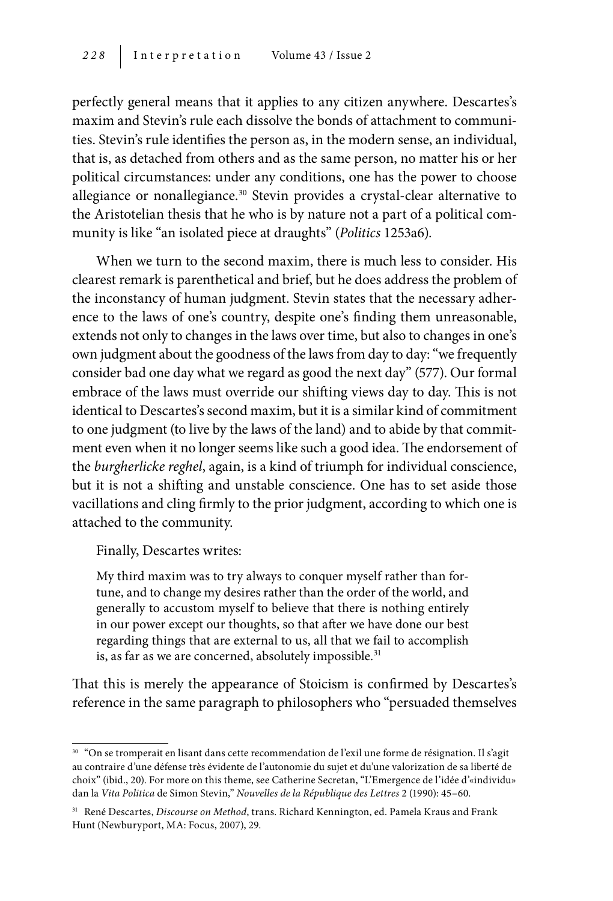perfectly general means that it applies to any citizen anywhere. Descartes's maxim and Stevin's rule each dissolve the bonds of attachment to communities. Stevin's rule identifies the person as, in the modern sense, an individual, that is, as detached from others and as the same person, no matter his or her political circumstances: under any conditions, one has the power to choose allegiance or nonallegiance.30 Stevin provides a crystal-clear alternative to the Aristotelian thesis that he who is by nature not a part of a political community is like "an isolated piece at draughts" (*Politics* 1253a6).

When we turn to the second maxim, there is much less to consider. His clearest remark is parenthetical and brief, but he does address the problem of the inconstancy of human judgment. Stevin states that the necessary adherence to the laws of one's country, despite one's finding them unreasonable, extends not only to changes in the laws over time, but also to changes in one's own judgment about the goodness of the laws from day to day: "we frequently consider bad one day what we regard as good the next day" (577). Our formal embrace of the laws must override our shifting views day to day. This is not identical to Descartes's second maxim, but it is a similar kind of commitment to one judgment (to live by the laws of the land) and to abide by that commitment even when it no longer seems like such a good idea. The endorsement of the *burgherlicke reghel*, again, is a kind of triumph for individual conscience, but it is not a shifting and unstable conscience. One has to set aside those vacillations and cling firmly to the prior judgment, according to which one is attached to the community.

Finally, Descartes writes:

My third maxim was to try always to conquer myself rather than fortune, and to change my desires rather than the order of the world, and generally to accustom myself to believe that there is nothing entirely in our power except our thoughts, so that after we have done our best regarding things that are external to us, all that we fail to accomplish is, as far as we are concerned, absolutely impossible.<sup>31</sup>

That this is merely the appearance of Stoicism is confirmed by Descartes's reference in the same paragraph to philosophers who "persuaded themselves

<sup>30</sup> "On se tromperait en lisant dans cette recommendation de l'exil une forme de résignation. Il s'agit au contraire d'une défense très évidente de l'autonomie du sujet et du'une valorization de sa liberté de choix" (ibid., 20). For more on this theme, see Catherine Secretan, "L'Emergence de l'idée d'«individu» dan la *Vita Politica* de Simon Stevin," *Nouvelles de la République des Lettres* 2 (1990): 45–60.

<sup>31</sup> René Descartes, *Discourse on Method*, trans. Richard Kennington, ed. Pamela Kraus and Frank Hunt (Newburyport, MA: Focus, 2007), 29.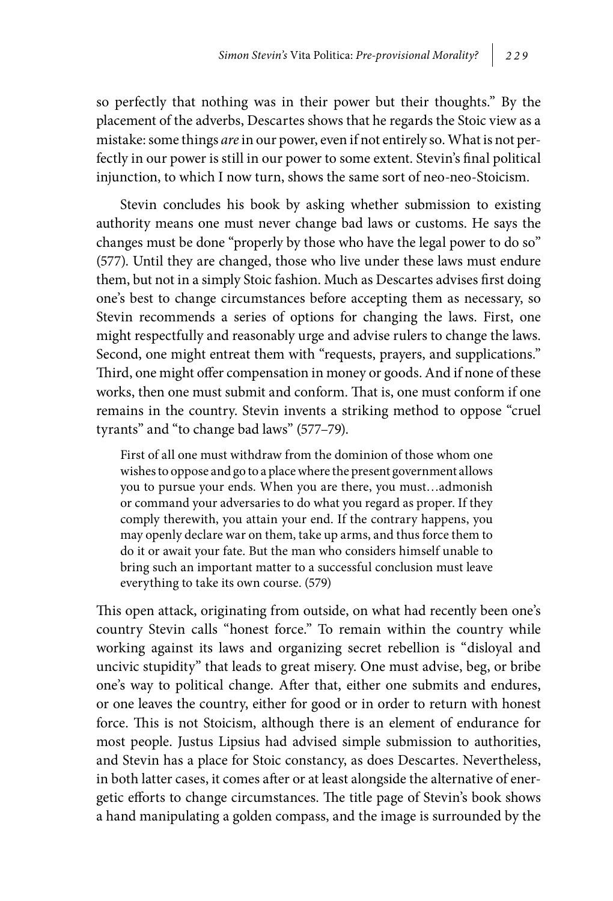so perfectly that nothing was in their power but their thoughts." By the placement of the adverbs, Descartes shows that he regards the Stoic view as a mistake: some things *are* in our power, even if not entirely so. What is not perfectly in our power is still in our power to some extent. Stevin's final political injunction, to which I now turn, shows the same sort of neo-neo-Stoicism.

Stevin concludes his book by asking whether submission to existing authority means one must never change bad laws or customs. He says the changes must be done "properly by those who have the legal power to do so" (577). Until they are changed, those who live under these laws must endure them, but not in a simply Stoic fashion. Much as Descartes advises first doing one's best to change circumstances before accepting them as necessary, so Stevin recommends a series of options for changing the laws. First, one might respectfully and reasonably urge and advise rulers to change the laws. Second, one might entreat them with "requests, prayers, and supplications." Third, one might offer compensation in money or goods. And if none of these works, then one must submit and conform. That is, one must conform if one remains in the country. Stevin invents a striking method to oppose "cruel tyrants" and "to change bad laws" (577–79).

First of all one must withdraw from the dominion of those whom one wishes to oppose and go to a place where the present government allows you to pursue your ends. When you are there, you must…admonish or command your adversaries to do what you regard as proper. If they comply therewith, you attain your end. If the contrary happens, you may openly declare war on them, take up arms, and thus force them to do it or await your fate. But the man who considers himself unable to bring such an important matter to a successful conclusion must leave everything to take its own course. (579)

This open attack, originating from outside, on what had recently been one's country Stevin calls "honest force." To remain within the country while working against its laws and organizing secret rebellion is "disloyal and uncivic stupidity" that leads to great misery. One must advise, beg, or bribe one's way to political change. After that, either one submits and endures, or one leaves the country, either for good or in order to return with honest force. This is not Stoicism, although there is an element of endurance for most people. Justus Lipsius had advised simple submission to authorities, and Stevin has a place for Stoic constancy, as does Descartes. Nevertheless, in both latter cases, it comes after or at least alongside the alternative of energetic efforts to change circumstances. The title page of Stevin's book shows a hand manipulating a golden compass, and the image is surrounded by the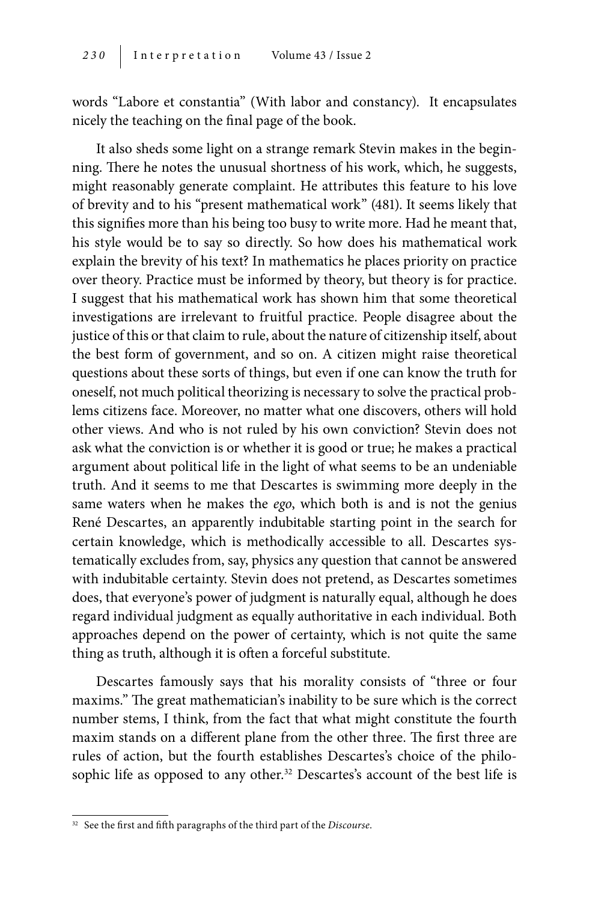words "Labore et constantia" (With labor and constancy). It encapsulates nicely the teaching on the final page of the book.

It also sheds some light on a strange remark Stevin makes in the beginning. There he notes the unusual shortness of his work, which, he suggests, might reasonably generate complaint. He attributes this feature to his love of brevity and to his "present mathematical work" (481). It seems likely that this signifies more than his being too busy to write more. Had he meant that, his style would be to say so directly. So how does his mathematical work explain the brevity of his text? In mathematics he places priority on practice over theory. Practice must be informed by theory, but theory is for practice. I suggest that his mathematical work has shown him that some theoretical investigations are irrelevant to fruitful practice. People disagree about the justice of this or that claim to rule, about the nature of citizenship itself, about the best form of government, and so on. A citizen might raise theoretical questions about these sorts of things, but even if one can know the truth for oneself, not much political theorizing is necessary to solve the practical problems citizens face. Moreover, no matter what one discovers, others will hold other views. And who is not ruled by his own conviction? Stevin does not ask what the conviction is or whether it is good or true; he makes a practical argument about political life in the light of what seems to be an undeniable truth. And it seems to me that Descartes is swimming more deeply in the same waters when he makes the *ego*, which both is and is not the genius René Descartes, an apparently indubitable starting point in the search for certain knowledge, which is methodically accessible to all. Descartes systematically excludes from, say, physics any question that cannot be answered with indubitable certainty. Stevin does not pretend, as Descartes sometimes does, that everyone's power of judgment is naturally equal, although he does regard individual judgment as equally authoritative in each individual. Both approaches depend on the power of certainty, which is not quite the same thing as truth, although it is often a forceful substitute.

Descartes famously says that his morality consists of "three or four maxims." The great mathematician's inability to be sure which is the correct number stems, I think, from the fact that what might constitute the fourth maxim stands on a different plane from the other three. The first three are rules of action, but the fourth establishes Descartes's choice of the philosophic life as opposed to any other.<sup>32</sup> Descartes's account of the best life is

<sup>32</sup> See the first and fifth paragraphs of the third part of the *Discourse*.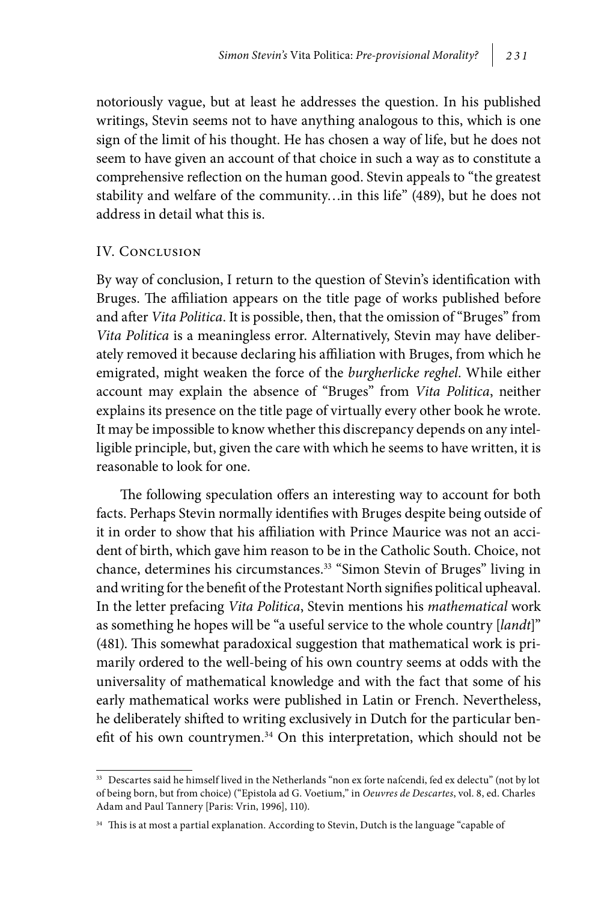notoriously vague, but at least he addresses the question. In his published writings, Stevin seems not to have anything analogous to this, which is one sign of the limit of his thought. He has chosen a way of life, but he does not seem to have given an account of that choice in such a way as to constitute a comprehensive reflection on the human good. Stevin appeals to "the greatest stability and welfare of the community…in this life" (489), but he does not address in detail what this is.

#### IV. Conclusion

By way of conclusion, I return to the question of Stevin's identification with Bruges. The affiliation appears on the title page of works published before and after *Vita Politica*. It is possible, then, that the omission of "Bruges" from *Vita Politica* is a meaningless error. Alternatively, Stevin may have deliberately removed it because declaring his affiliation with Bruges, from which he emigrated, might weaken the force of the *burgherlicke reghel*. While either account may explain the absence of "Bruges" from *Vita Politica*, neither explains its presence on the title page of virtually every other book he wrote. It may be impossible to know whether this discrepancy depends on any intelligible principle, but, given the care with which he seems to have written, it is reasonable to look for one.

The following speculation offers an interesting way to account for both facts. Perhaps Stevin normally identifies with Bruges despite being outside of it in order to show that his affiliation with Prince Maurice was not an accident of birth, which gave him reason to be in the Catholic South. Choice, not chance, determines his circumstances.33 "Simon Stevin of Bruges" living in and writing for the benefit of the Protestant North signifies political upheaval. In the letter prefacing *Vita Politica*, Stevin mentions his *mathematical* work as something he hopes will be "a useful service to the whole country [*landt*]" (481). This somewhat paradoxical suggestion that mathematical work is primarily ordered to the well-being of his own country seems at odds with the universality of mathematical knowledge and with the fact that some of his early mathematical works were published in Latin or French. Nevertheless, he deliberately shifted to writing exclusively in Dutch for the particular benefit of his own countrymen.<sup>34</sup> On this interpretation, which should not be

<sup>33</sup> Descartes said he himself lived in the Netherlands "non ex forte nafcendi, fed ex delectu" (not by lot of being born, but from choice) ("Epistola ad G. Voetium," in *Oeuvres de Descartes*, vol. 8, ed. Charles Adam and Paul Tannery [Paris: Vrin, 1996], 110).

<sup>&</sup>lt;sup>34</sup> This is at most a partial explanation. According to Stevin, Dutch is the language "capable of